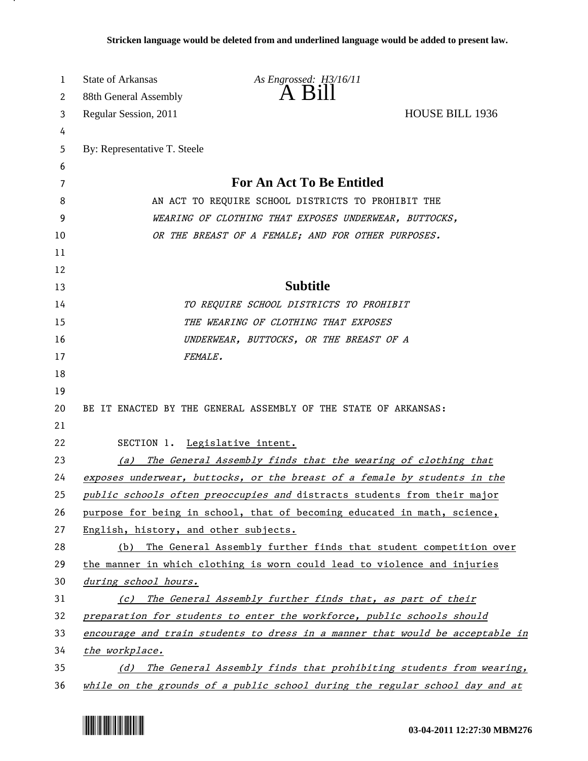| 1      | <b>State of Arkansas</b>                              | As Engrossed: H3/16/11<br>A Bill                                              |  |
|--------|-------------------------------------------------------|-------------------------------------------------------------------------------|--|
| 2      | 88th General Assembly                                 |                                                                               |  |
| 3      | Regular Session, 2011                                 | <b>HOUSE BILL 1936</b>                                                        |  |
| 4      |                                                       |                                                                               |  |
| 5      | By: Representative T. Steele                          |                                                                               |  |
| 6<br>7 |                                                       | <b>For An Act To Be Entitled</b>                                              |  |
| 8      |                                                       | AN ACT TO REQUIRE SCHOOL DISTRICTS TO PROHIBIT THE                            |  |
| 9      | WEARING OF CLOTHING THAT EXPOSES UNDERWEAR, BUTTOCKS, |                                                                               |  |
| 10     |                                                       | OR THE BREAST OF A FEMALE; AND FOR OTHER PURPOSES.                            |  |
| 11     |                                                       |                                                                               |  |
| 12     |                                                       |                                                                               |  |
| 13     |                                                       | <b>Subtitle</b>                                                               |  |
| 14     |                                                       | TO REQUIRE SCHOOL DISTRICTS TO PROHIBIT                                       |  |
| 15     |                                                       | THE WEARING OF CLOTHING THAT EXPOSES                                          |  |
| 16     |                                                       | UNDERWEAR, BUTTOCKS, OR THE BREAST OF A                                       |  |
| 17     |                                                       | FEMALE.                                                                       |  |
| 18     |                                                       |                                                                               |  |
| 19     |                                                       |                                                                               |  |
| 20     |                                                       | BE IT ENACTED BY THE GENERAL ASSEMBLY OF THE STATE OF ARKANSAS:               |  |
| 21     |                                                       |                                                                               |  |
| 22     |                                                       | SECTION 1. Legislative intent.                                                |  |
| 23     | (a)                                                   | The General Assembly finds that the wearing of clothing that                  |  |
| 24     |                                                       | exposes underwear, buttocks, or the breast of a female by students in the     |  |
| 25     |                                                       | public schools often preoccupies and distracts students from their major      |  |
| 26     |                                                       | purpose for being in school, that of becoming educated in math, science,      |  |
| 27     | English, history, and other subjects.                 |                                                                               |  |
| 28     | (b)                                                   | The General Assembly further finds that student competition over              |  |
| 29     |                                                       | the manner in which clothing is worn could lead to violence and injuries      |  |
| 30     | during school hours.                                  |                                                                               |  |
| 31     |                                                       | (c) The General Assembly further finds that, as part of their                 |  |
| 32     |                                                       | preparation for students to enter the workforce, public schools should        |  |
| 33     |                                                       | encourage and train students to dress in a manner that would be acceptable in |  |
| 34     | the workplace.                                        |                                                                               |  |
| 35     |                                                       | (d) The General Assembly finds that prohibiting students from wearing,        |  |
| 36     |                                                       | while on the grounds of a public school during the regular school day and at  |  |



.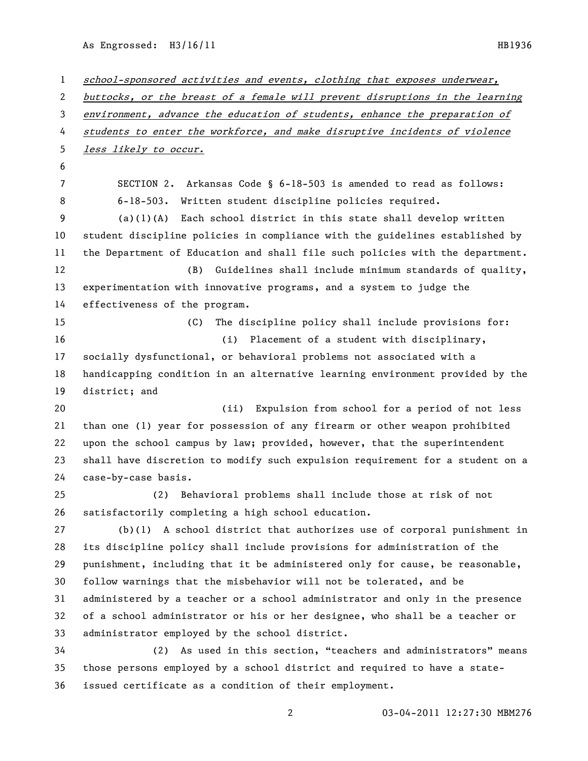As Engrossed: H3/16/11 HB1936

 school-sponsored activities and events, clothing that exposes underwear, buttocks, or the breast of a female will prevent disruptions in the learning environment, advance the education of students, enhance the preparation of 4 students to enter the workforce, and make disruptive incidents of violence less likely to occur. SECTION 2. Arkansas Code § 6-18-503 is amended to read as follows: 6-18-503. Written student discipline policies required. (a)(1)(A) Each school district in this state shall develop written student discipline policies in compliance with the guidelines established by the Department of Education and shall file such policies with the department. (B) Guidelines shall include minimum standards of quality, experimentation with innovative programs, and a system to judge the effectiveness of the program. (C) The discipline policy shall include provisions for: (i) Placement of a student with disciplinary, socially dysfunctional, or behavioral problems not associated with a handicapping condition in an alternative learning environment provided by the district; and (ii) Expulsion from school for a period of not less than one (1) year for possession of any firearm or other weapon prohibited upon the school campus by law; provided, however, that the superintendent shall have discretion to modify such expulsion requirement for a student on a case-by-case basis. (2) Behavioral problems shall include those at risk of not satisfactorily completing a high school education. (b)(1) A school district that authorizes use of corporal punishment in its discipline policy shall include provisions for administration of the punishment, including that it be administered only for cause, be reasonable, follow warnings that the misbehavior will not be tolerated, and be administered by a teacher or a school administrator and only in the presence of a school administrator or his or her designee, who shall be a teacher or administrator employed by the school district. (2) As used in this section, "teachers and administrators" means those persons employed by a school district and required to have a state-issued certificate as a condition of their employment.